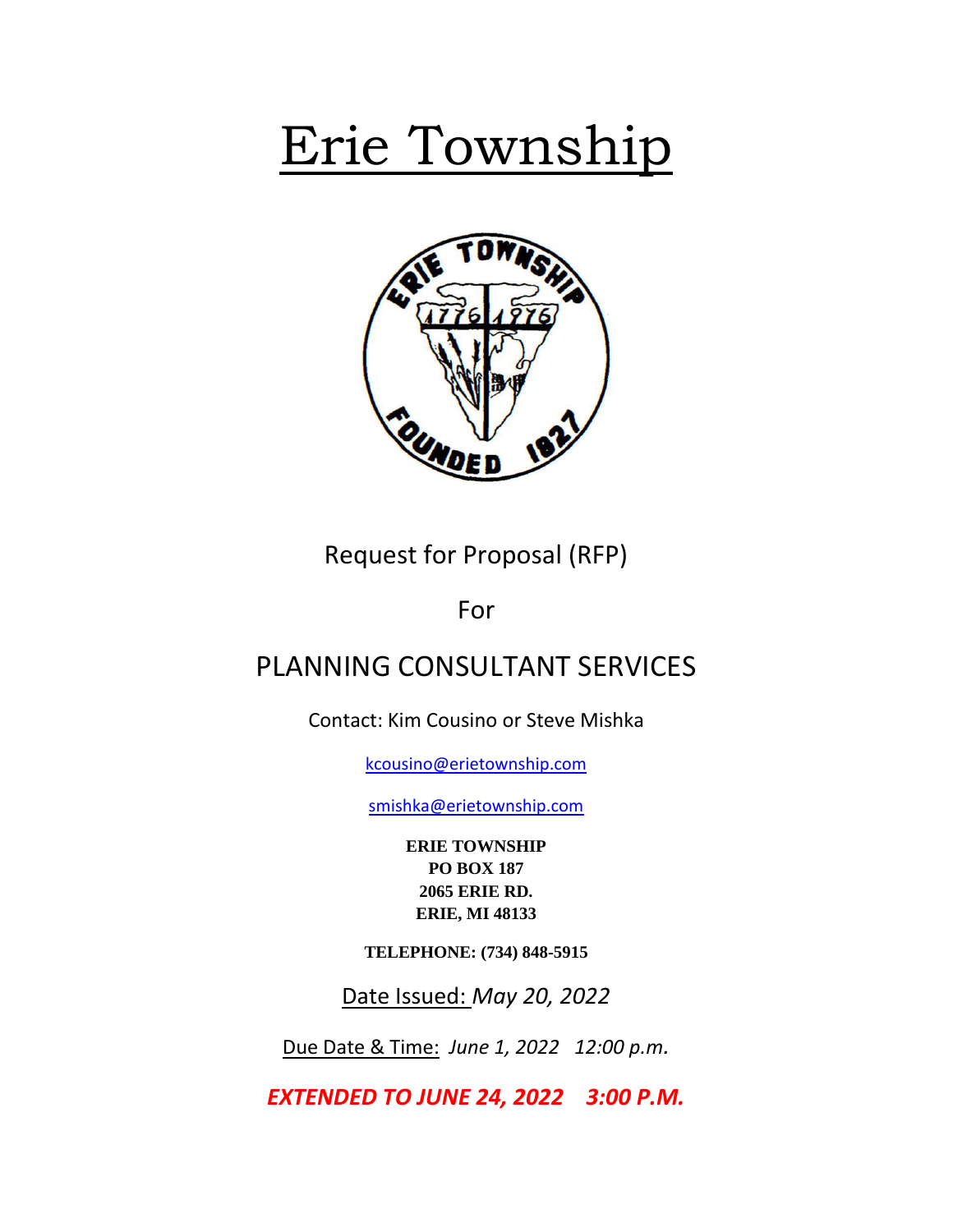# Erie Township



Request for Proposal (RFP)

For

## PLANNING CONSULTANT SERVICES

Contact: Kim Cousino or Steve Mishka

[kcousino@erietownship.com](mailto:kcousino@erietownship.com)

[smishka@erietownship.com](mailto:dansel@erietownship.com)

**ERIE TOWNSHIP PO BOX 187 2065 ERIE RD. ERIE, MI 48133**

**TELEPHONE: (734) 848-5915**

Date Issued: *May 20, 2022*

Due Date & Time: *June 1, 2022 12:00 p.m.*

*EXTENDED TO JUNE 24, 2022 3:00 P.M.*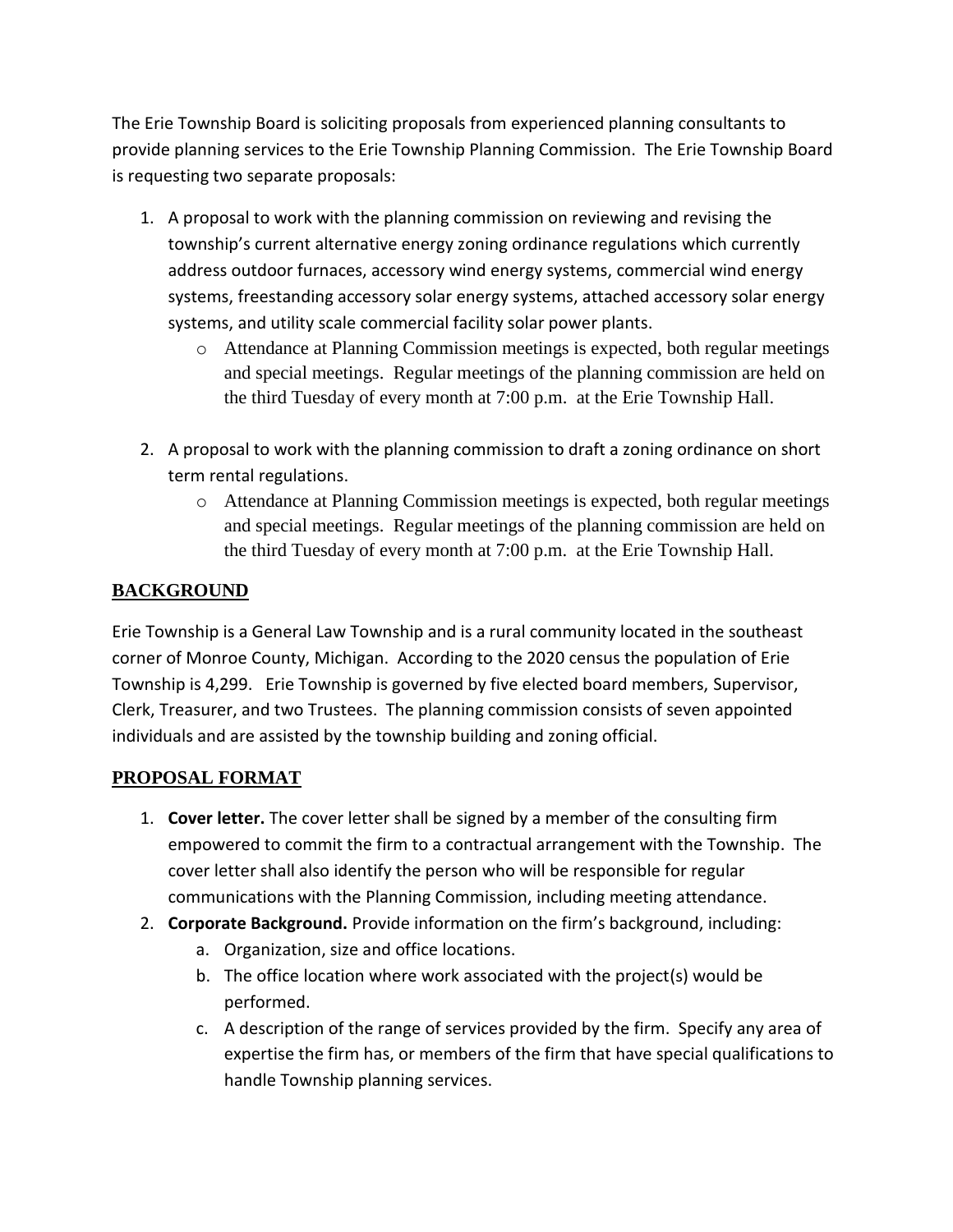The Erie Township Board is soliciting proposals from experienced planning consultants to provide planning services to the Erie Township Planning Commission. The Erie Township Board is requesting two separate proposals:

- 1. A proposal to work with the planning commission on reviewing and revising the township's current alternative energy zoning ordinance regulations which currently address outdoor furnaces, accessory wind energy systems, commercial wind energy systems, freestanding accessory solar energy systems, attached accessory solar energy systems, and utility scale commercial facility solar power plants.
	- o Attendance at Planning Commission meetings is expected, both regular meetings and special meetings.Regular meetings of the planning commission are held on the third Tuesday of every month at 7:00 p.m. at the Erie Township Hall.
- 2. A proposal to work with the planning commission to draft a zoning ordinance on short term rental regulations.
	- o Attendance at Planning Commission meetings is expected, both regular meetings and special meetings. Regular meetings of the planning commission are held on the third Tuesday of every month at 7:00 p.m. at the Erie Township Hall.

### **BACKGROUND**

Erie Township is a General Law Township and is a rural community located in the southeast corner of Monroe County, Michigan. According to the 2020 census the population of Erie Township is 4,299. Erie Township is governed by five elected board members, Supervisor, Clerk, Treasurer, and two Trustees. The planning commission consists of seven appointed individuals and are assisted by the township building and zoning official.

#### **PROPOSAL FORMAT**

- 1. **Cover letter.** The cover letter shall be signed by a member of the consulting firm empowered to commit the firm to a contractual arrangement with the Township. The cover letter shall also identify the person who will be responsible for regular communications with the Planning Commission, including meeting attendance.
- 2. **Corporate Background.** Provide information on the firm's background, including:
	- a. Organization, size and office locations.
	- b. The office location where work associated with the project(s) would be performed.
	- c. A description of the range of services provided by the firm. Specify any area of expertise the firm has, or members of the firm that have special qualifications to handle Township planning services.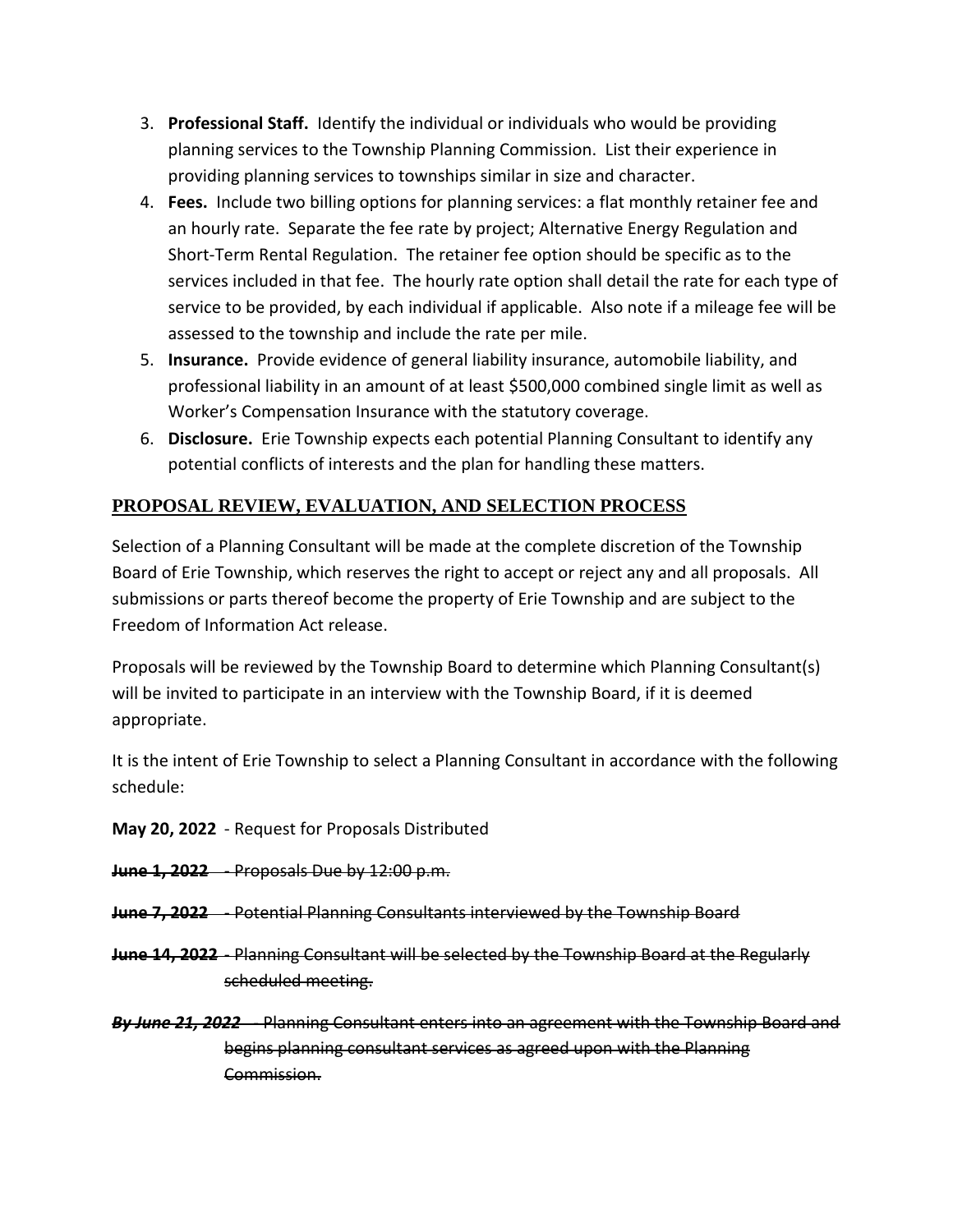- 3. **Professional Staff.** Identify the individual or individuals who would be providing planning services to the Township Planning Commission. List their experience in providing planning services to townships similar in size and character.
- 4. **Fees.** Include two billing options for planning services: a flat monthly retainer fee and an hourly rate. Separate the fee rate by project; Alternative Energy Regulation and Short-Term Rental Regulation. The retainer fee option should be specific as to the services included in that fee. The hourly rate option shall detail the rate for each type of service to be provided, by each individual if applicable. Also note if a mileage fee will be assessed to the township and include the rate per mile.
- 5. **Insurance.** Provide evidence of general liability insurance, automobile liability, and professional liability in an amount of at least \$500,000 combined single limit as well as Worker's Compensation Insurance with the statutory coverage.
- 6. **Disclosure.** Erie Township expects each potential Planning Consultant to identify any potential conflicts of interests and the plan for handling these matters.

#### **PROPOSAL REVIEW, EVALUATION, AND SELECTION PROCESS**

Selection of a Planning Consultant will be made at the complete discretion of the Township Board of Erie Township, which reserves the right to accept or reject any and all proposals. All submissions or parts thereof become the property of Erie Township and are subject to the Freedom of Information Act release.

Proposals will be reviewed by the Township Board to determine which Planning Consultant(s) will be invited to participate in an interview with the Township Board, if it is deemed appropriate.

It is the intent of Erie Township to select a Planning Consultant in accordance with the following schedule:

**May 20, 2022** - Request for Proposals Distributed

- **June 1, 2022** Proposals Due by 12:00 p.m.
- **June 7, 2022** Potential Planning Consultants interviewed by the Township Board
- **June 14, 2022** Planning Consultant will be selected by the Township Board at the Regularly scheduled meeting.
- *By June 21, 2022* Planning Consultant enters into an agreement with the Township Board and begins planning consultant services as agreed upon with the Planning Commission.